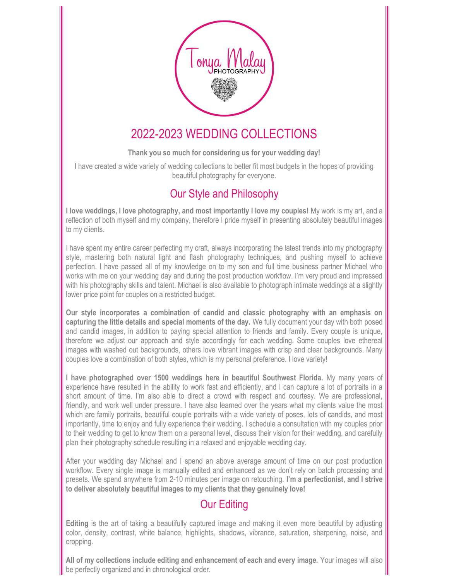

# 2022-2023 WEDDING COLLECTIONS

# Thank you so much for considering us for your wedding day!

I have created a wide variety of wedding collections to better fit most budgets in the hopes of providing beautiful photography for everyone.

# Our Style and Philosophy

I love weddings, I love photography, and most importantly I love my couples! My work is my art, and a reflection of both myself and my company, therefore I pride myself in presenting absolutely beautiful images to my clients.

I have spent my entire career perfecting my craft, always incorporating the latest trends into my photography style, mastering both natural light and flash photography techniques, and pushing myself to achieve perfection. I have passed all of my knowledge on to my son and full time business partner Michael who works with me on your wedding day and during the post production workflow. I'm very proud and impressed with his photography skills and talent. Michael is also available to photograph intimate weddings at a slightly lower price point for couples on a restricted budget.

Our style incorporates a combination of candid and classic photography with an emphasis on capturing the little details and special moments of the day. We fully document your day with both posed and candid images, in addition to paying special attention to friends and family. Every couple is unique, therefore we adjust our approach and style accordingly for each wedding. Some couples love ethereal images with washed out backgrounds, others love vibrant images with crisp and clear backgrounds. Many couples love a combination of both styles, which is my personal preference. I love variety!

I have photographed over 1500 weddings here in beautiful Southwest Florida. My many years of experience have resulted in the ability to work fast and efficiently, and I can capture a lot of portraits in a short amount of time. I'm also able to direct a crowd with respect and courtesy. We are professional, friendly, and work well under pressure. I have also learned over the years what my clients value the most which are family portraits, beautiful couple portraits with a wide variety of poses, lots of candids, and most importantly, time to enjoy and fully experience their wedding. I schedule a consultation with my couples prior to their wedding to get to know them on a personal level, discuss their vision for their wedding, and carefully plan their photography schedule resulting in a relaxed and enjoyable wedding day.

After your wedding day Michael and I spend an above average amount of time on our post production workflow. Every single image is manually edited and enhanced as we don't rely on batch processing and presets. We spend anywhere from 2-10 minutes per image on retouching. I'm a perfectionist, and I strive to deliver absolutely beautiful images to my clients that they genuinely love!

# Our Editing

Editing is the art of taking a beautifully captured image and making it even more beautiful by adjusting color, density, contrast, white balance, highlights, shadows, vibrance, saturation, sharpening, noise, and cropping.

All of my collections include editing and enhancement of each and every image. Your images will also be perfectly organized and in chronological order.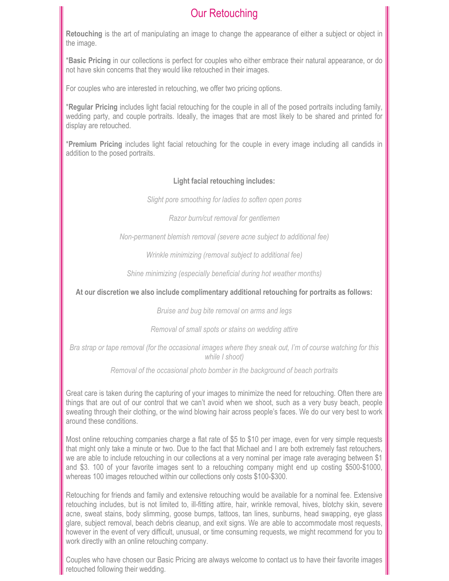# Our Retouching

Retouching is the art of manipulating an image to change the appearance of either a subject or object in the image.

\*Basic Pricing in our collections is perfect for couples who either embrace their natural appearance, or do not have skin concerns that they would like retouched in their images.

For couples who are interested in retouching, we offer two pricing options.

\*Regular Pricing includes light facial retouching for the couple in all of the posed portraits including family, wedding party, and couple portraits. Ideally, the images that are most likely to be shared and printed for display are retouched.

\*Premium Pricing includes light facial retouching for the couple in every image including all candids in addition to the posed portraits.

## Light facial retouching includes:

Slight pore smoothing for ladies to soften open pores

Razor burn/cut removal for gentlemen

Non-permanent blemish removal (severe acne subject to additional fee)

Wrinkle minimizing (removal subject to additional fee)

Shine minimizing (especially beneficial during hot weather months)

At our discretion we also include complimentary additional retouching for portraits as follows:

Bruise and bug bite removal on arms and legs

Removal of small spots or stains on wedding attire

Bra strap or tape removal (for the occasional images where they sneak out, I'm of course watching for this while I shoot)

Removal of the occasional photo bomber in the background of beach portraits

Great care is taken during the capturing of your images to minimize the need for retouching. Often there are things that are out of our control that we can't avoid when we shoot, such as a very busy beach, people sweating through their clothing, or the wind blowing hair across people's faces. We do our very best to work around these conditions.

Most online retouching companies charge a flat rate of \$5 to \$10 per image, even for very simple requests that might only take a minute or two. Due to the fact that Michael and I are both extremely fast retouchers, we are able to include retouching in our collections at a very nominal per image rate averaging between \$1 and \$3. 100 of your favorite images sent to a retouching company might end up costing \$500-\$1000, whereas 100 images retouched within our collections only costs \$100-\$300.

Retouching for friends and family and extensive retouching would be available for a nominal fee. Extensive retouching includes, but is not limited to, ill-fitting attire, hair, wrinkle removal, hives, blotchy skin, severe acne, sweat stains, body slimming, goose bumps, tattoos, tan lines, sunburns, head swapping, eye glass glare, subject removal, beach debris cleanup, and exit signs. We are able to accommodate most requests, however in the event of very difficult, unusual, or time consuming requests, we might recommend for you to work directly with an online retouching company.

Couples who have chosen our Basic Pricing are always welcome to contact us to have their favorite images retouched following their wedding.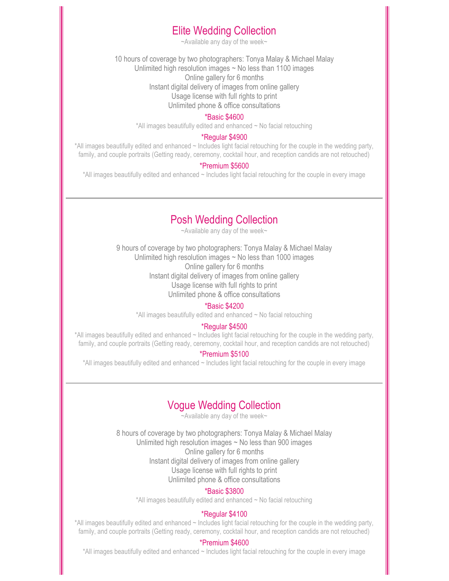# Elite Wedding Collection

~Available any day of the week~

10 hours of coverage by two photographers: Tonya Malay & Michael Malay Unlimited high resolution images  $\sim$  No less than 1100 images Online gallery for 6 months Instant digital delivery of images from online gallery Usage license with full rights to print Unlimited phone & office consultations

#### \*Basic \$4600

\*All images beautifully edited and enhanced ~ No facial retouching

#### \*Regular \$4900

\*All images beautifully edited and enhanced ~ Includes light facial retouching for the couple in the wedding party, family, and couple portraits (Getting ready, ceremony, cocktail hour, and reception candids are not retouched)

#### \*Premium \$5600

\*All images beautifully edited and enhanced ~ Includes light facial retouching for the couple in every image

# Posh Wedding Collection

~Available any day of the week~

9 hours of coverage by two photographers: Tonya Malay & Michael Malay Unlimited high resolution images ~ No less than 1000 images Online gallery for 6 months Instant digital delivery of images from online gallery Usage license with full rights to print Unlimited phone & office consultations

#### \*Basic \$4200

\*All images beautifully edited and enhanced ~ No facial retouching

## \*Regular \$4500

\*All images beautifully edited and enhanced ~ Includes light facial retouching for the couple in the wedding party, family, and couple portraits (Getting ready, ceremony, cocktail hour, and reception candids are not retouched)

### \*Premium \$5100

\*All images beautifully edited and enhanced ~ Includes light facial retouching for the couple in every image

# Vogue Wedding Collection

~Available any day of the week~

8 hours of coverage by two photographers: Tonya Malay & Michael Malay Unlimited high resolution images ~ No less than 900 images Online gallery for 6 months Instant digital delivery of images from online gallery Usage license with full rights to print Unlimited phone & office consultations

#### \*Basic \$3800

\*All images beautifully edited and enhanced ~ No facial retouching

## \*Regular \$4100

\*All images beautifully edited and enhanced ~ Includes light facial retouching for the couple in the wedding party, family, and couple portraits (Getting ready, ceremony, cocktail hour, and reception candids are not retouched)

#### \*Premium \$4600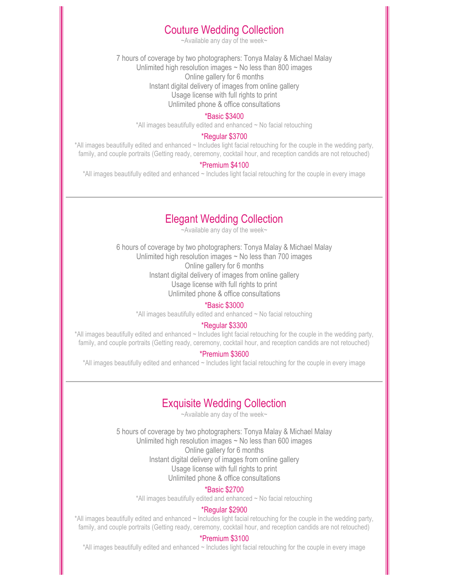# Couture Wedding Collection

~Available any day of the week~

7 hours of coverage by two photographers: Tonya Malay & Michael Malay Unlimited high resolution images ~ No less than 800 images Online gallery for 6 months Instant digital delivery of images from online gallery Usage license with full rights to print Unlimited phone & office consultations

#### \*Basic \$3400

\*All images beautifully edited and enhanced ~ No facial retouching

#### \*Regular \$3700

\*All images beautifully edited and enhanced ~ Includes light facial retouching for the couple in the wedding party, family, and couple portraits (Getting ready, ceremony, cocktail hour, and reception candids are not retouched)

#### \*Premium \$4100

\*All images beautifully edited and enhanced ~ Includes light facial retouching for the couple in every image

# Elegant Wedding Collection

~Available any day of the week~

6 hours of coverage by two photographers: Tonya Malay & Michael Malay Unlimited high resolution images ~ No less than 700 images Online gallery for 6 months Instant digital delivery of images from online gallery Usage license with full rights to print Unlimited phone & office consultations

#### \*Basic \$3000

\*All images beautifully edited and enhanced ~ No facial retouching

#### \*Regular \$3300

\*All images beautifully edited and enhanced ~ Includes light facial retouching for the couple in the wedding party, family, and couple portraits (Getting ready, ceremony, cocktail hour, and reception candids are not retouched)

### \*Premium \$3600

\*All images beautifully edited and enhanced ~ Includes light facial retouching for the couple in every image

# Exquisite Wedding Collection

~Available any day of the week~

5 hours of coverage by two photographers: Tonya Malay & Michael Malay Unlimited high resolution images ~ No less than 600 images Online gallery for 6 months Instant digital delivery of images from online gallery Usage license with full rights to print Unlimited phone & office consultations

### \*Basic \$2700

\*All images beautifully edited and enhanced ~ No facial retouching

## \*Regular \$2900

\*All images beautifully edited and enhanced ~ Includes light facial retouching for the couple in the wedding party, family, and couple portraits (Getting ready, ceremony, cocktail hour, and reception candids are not retouched)

### \*Premium \$3100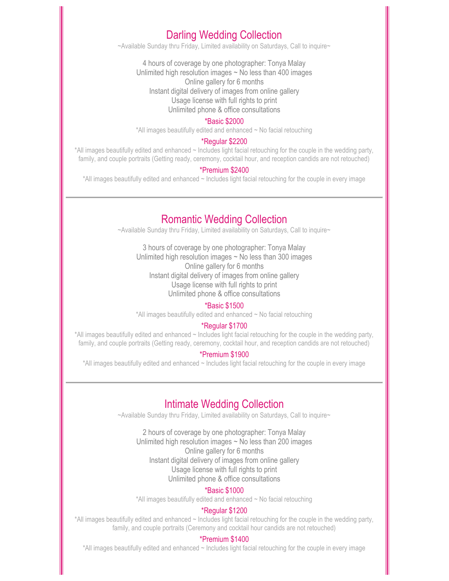# Darling Wedding Collection

~Available Sunday thru Friday, Limited availability on Saturdays, Call to inquire~

4 hours of coverage by one photographer: Tonya Malay Unlimited high resolution images ~ No less than 400 images Online gallery for 6 months Instant digital delivery of images from online gallery Usage license with full rights to print Unlimited phone & office consultations

#### \*Basic \$2000

\*All images beautifully edited and enhanced ~ No facial retouching

## \*Regular \$2200

\*All images beautifully edited and enhanced ~ Includes light facial retouching for the couple in the wedding party, family, and couple portraits (Getting ready, ceremony, cocktail hour, and reception candids are not retouched)

## \*Premium \$2400

\*All images beautifully edited and enhanced ~ Includes light facial retouching for the couple in every image

# Romantic Wedding Collection

~Available Sunday thru Friday, Limited availability on Saturdays, Call to inquire~

3 hours of coverage by one photographer: Tonya Malay Unlimited high resolution images ~ No less than 300 images Online gallery for 6 months Instant digital delivery of images from online gallery Usage license with full rights to print Unlimited phone & office consultations

#### \*Basic \$1500

\*All images beautifully edited and enhanced ~ No facial retouching

## \*Regular \$1700

\*All images beautifully edited and enhanced ~ Includes light facial retouching for the couple in the wedding party, family, and couple portraits (Getting ready, ceremony, cocktail hour, and reception candids are not retouched)

## \*Premium \$1900

\*All images beautifully edited and enhanced ~ Includes light facial retouching for the couple in every image

# Intimate Wedding Collection

~Available Sunday thru Friday, Limited availability on Saturdays, Call to inquire~

2 hours of coverage by one photographer: Tonya Malay Unlimited high resolution images  $\sim$  No less than 200 images Online gallery for 6 months Instant digital delivery of images from online gallery Usage license with full rights to print Unlimited phone & office consultations

## \*Basic \$1000

\*All images beautifully edited and enhanced ~ No facial retouching

## \*Regular \$1200

\*All images beautifully edited and enhanced ~ Includes light facial retouching for the couple in the wedding party, family, and couple portraits (Ceremony and cocktail hour candids are not retouched)

## \*Premium \$1400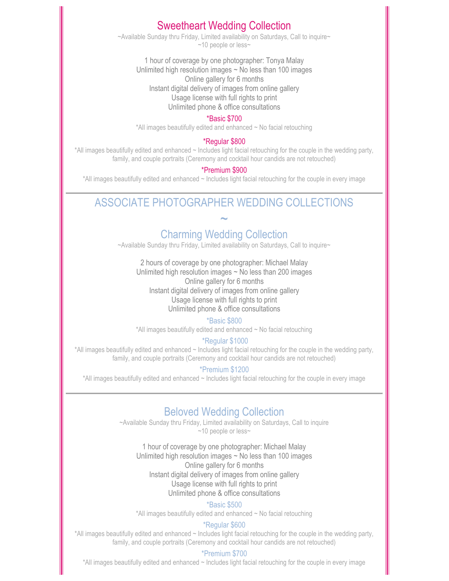# Sweetheart Wedding Collection

~Available Sunday thru Friday, Limited availability on Saturdays, Call to inquire~ ~10 people or less~

1 hour of coverage by one photographer: Tonya Malay Unlimited high resolution images  $\sim$  No less than 100 images Online gallery for 6 months Instant digital delivery of images from online gallery Usage license with full rights to print Unlimited phone & office consultations

# \*Basic \$700

\*All images beautifully edited and enhanced ~ No facial retouching

### \*Regular \$800

\*All images beautifully edited and enhanced ~ Includes light facial retouching for the couple in the wedding party, family, and couple portraits (Ceremony and cocktail hour candids are not retouched)

## \*Premium \$900

\*All images beautifully edited and enhanced ~ Includes light facial retouching for the couple in every image

# ASSOCIATE PHOTOGRAPHER WEDDING COLLECTIONS

~

# Charming Wedding Collection

~Available Sunday thru Friday, Limited availability on Saturdays, Call to inquire~

2 hours of coverage by one photographer: Michael Malay Unlimited high resolution images  $\sim$  No less than 200 images Online gallery for 6 months Instant digital delivery of images from online gallery Usage license with full rights to print Unlimited phone & office consultations

### \*Basic \$800

\*All images beautifully edited and enhanced ~ No facial retouching

## \*Regular \$1000

\*All images beautifully edited and enhanced ~ Includes light facial retouching for the couple in the wedding party, family, and couple portraits (Ceremony and cocktail hour candids are not retouched)

### \*Premium \$1200

\*All images beautifully edited and enhanced ~ Includes light facial retouching for the couple in every image

# Beloved Wedding Collection

~Available Sunday thru Friday, Limited availability on Saturdays, Call to inquire ~10 people or less~

1 hour of coverage by one photographer: Michael Malay Unlimited high resolution images ~ No less than 100 images Online gallery for 6 months Instant digital delivery of images from online gallery Usage license with full rights to print Unlimited phone & office consultations

#### \*Basic \$500

\*All images beautifully edited and enhanced ~ No facial retouching

#### \*Regular \$600

\*All images beautifully edited and enhanced ~ Includes light facial retouching for the couple in the wedding party, family, and couple portraits (Ceremony and cocktail hour candids are not retouched)

### \*Premium \$700